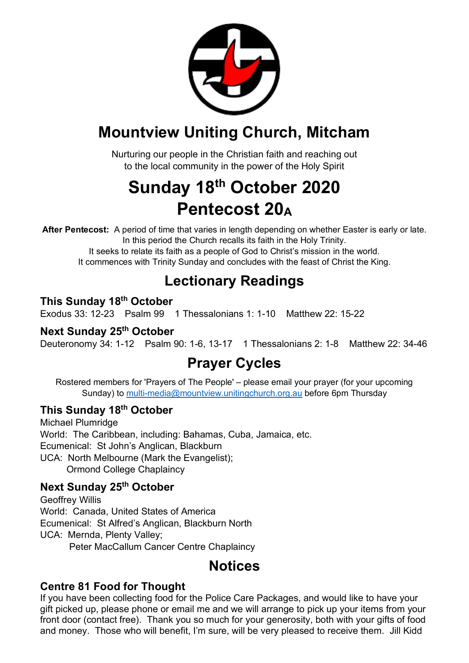

## **Mountview Uniting Church, Mitcham**

Nurturing our people in the Christian faith and reaching out to the local community in the power of the Holy Spirit

## **Sunday 18th October 2020 Pentecost 20A**

**After Pentecost:** A period of time that varies in length depending on whether Easter is early or late. In this period the Church recalls its faith in the Holy Trinity.

It seeks to relate its faith as a people of God to Christ's mission in the world. It commences with Trinity Sunday and concludes with the feast of Christ the King.

## **Lectionary Readings**

#### **This Sunday 18th October**

Exodus 33: 12-23 Psalm 99 1 Thessalonians 1: 1-10 Matthew 22: 15-22

#### **Next Sunday 25th October**

Deuteronomy 34: 1-12 Psalm 90: 1-6, 13-17 1 Thessalonians 2: 1-8 Matthew 22: 34-46

## **Prayer Cycles**

Rostered members for 'Prayers of The People' – please email your prayer (for your upcoming Sunday) to multi-media@mountview.unitingchurch.org.au before 6pm Thursday

#### **This Sunday 18th October**

Michael Plumridge World: The Caribbean, including: Bahamas, Cuba, Jamaica, etc. Ecumenical: St John's Anglican, Blackburn UCA: North Melbourne (Mark the Evangelist); Ormond College Chaplaincy

#### **Next Sunday 25th October**

Geoffrey Willis World: Canada, United States of America Ecumenical: St Alfred's Anglican, Blackburn North UCA: Mernda, Plenty Valley; Peter MacCallum Cancer Centre Chaplaincy

## **Notices**

#### **Centre 81 Food for Thought**

If you have been collecting food for the Police Care Packages, and would like to have your gift picked up, please phone or email me and we will arrange to pick up your items from your front door (contact free). Thank you so much for your generosity, both with your gifts of food and money. Those who will benefit, I'm sure, will be very pleased to receive them. Jill Kidd